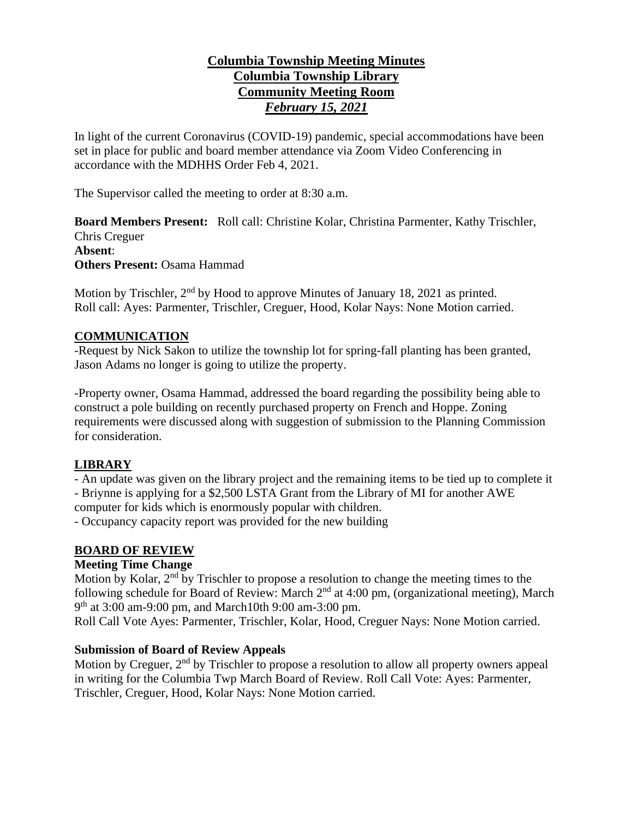# **Columbia Township Meeting Minutes Columbia Township Library Community Meeting Room** *February 15, 2021*

In light of the current Coronavirus (COVID-19) pandemic, special accommodations have been set in place for public and board member attendance via Zoom Video Conferencing in accordance with the MDHHS Order Feb 4, 2021.

The Supervisor called the meeting to order at 8:30 a.m.

**Board Members Present:** Roll call: Christine Kolar, Christina Parmenter, Kathy Trischler, Chris Creguer **Absent**: **Others Present:** Osama Hammad

Motion by Trischler,  $2<sup>nd</sup>$  by Hood to approve Minutes of January 18, 2021 as printed. Roll call: Ayes: Parmenter, Trischler, Creguer, Hood, Kolar Nays: None Motion carried.

## **COMMUNICATION**

-Request by Nick Sakon to utilize the township lot for spring-fall planting has been granted, Jason Adams no longer is going to utilize the property.

-Property owner, Osama Hammad, addressed the board regarding the possibility being able to construct a pole building on recently purchased property on French and Hoppe. Zoning requirements were discussed along with suggestion of submission to the Planning Commission for consideration.

# **LIBRARY**

- An update was given on the library project and the remaining items to be tied up to complete it - Briynne is applying for a \$2,500 LSTA Grant from the Library of MI for another AWE computer for kids which is enormously popular with children.

- Occupancy capacity report was provided for the new building

## **BOARD OF REVIEW**

## **Meeting Time Change**

Motion by Kolar, 2<sup>nd</sup> by Trischler to propose a resolution to change the meeting times to the following schedule for Board of Review: March  $2<sup>nd</sup>$  at 4:00 pm, (organizational meeting), March 9<sup>th</sup> at 3:00 am-9:00 pm, and March10th 9:00 am-3:00 pm.

Roll Call Vote Ayes: Parmenter, Trischler, Kolar, Hood, Creguer Nays: None Motion carried.

## **Submission of Board of Review Appeals**

Motion by Creguer, 2<sup>nd</sup> by Trischler to propose a resolution to allow all property owners appeal in writing for the Columbia Twp March Board of Review. Roll Call Vote: Ayes: Parmenter, Trischler, Creguer, Hood, Kolar Nays: None Motion carried.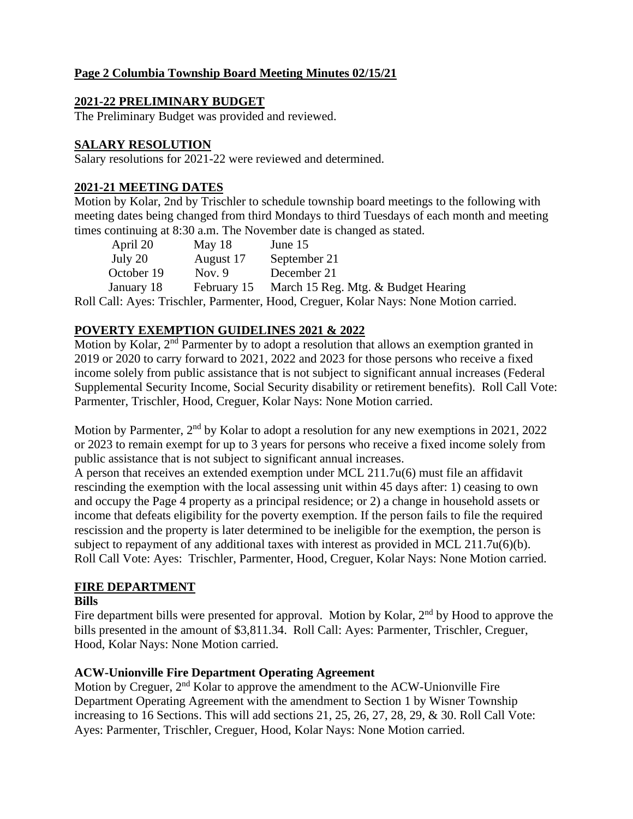# **Page 2 Columbia Township Board Meeting Minutes 02/15/21**

### **2021-22 PRELIMINARY BUDGET**

The Preliminary Budget was provided and reviewed.

### **SALARY RESOLUTION**

Salary resolutions for 2021-22 were reviewed and determined.

### **2021-21 MEETING DATES**

Motion by Kolar, 2nd by Trischler to schedule township board meetings to the following with meeting dates being changed from third Mondays to third Tuesdays of each month and meeting times continuing at 8:30 a.m. The November date is changed as stated.

| April 20   | May $18$    | June 15                             |
|------------|-------------|-------------------------------------|
| July 20    | August 17   | September 21                        |
| October 19 | Nov. $9$    | December 21                         |
| January 18 | February 15 | March 15 Reg. Mtg. & Budget Hearing |

Roll Call: Ayes: Trischler, Parmenter, Hood, Creguer, Kolar Nays: None Motion carried.

## **POVERTY EXEMPTION GUIDELINES 2021 & 2022**

Motion by Kolar, 2<sup>nd</sup> Parmenter by to adopt a resolution that allows an exemption granted in 2019 or 2020 to carry forward to 2021, 2022 and 2023 for those persons who receive a fixed income solely from public assistance that is not subject to significant annual increases (Federal Supplemental Security Income, Social Security disability or retirement benefits). Roll Call Vote: Parmenter, Trischler, Hood, Creguer, Kolar Nays: None Motion carried.

Motion by Parmenter, 2<sup>nd</sup> by Kolar to adopt a resolution for any new exemptions in 2021, 2022 or 2023 to remain exempt for up to 3 years for persons who receive a fixed income solely from public assistance that is not subject to significant annual increases.

A person that receives an extended exemption under MCL 211.7u(6) must file an affidavit rescinding the exemption with the local assessing unit within 45 days after: 1) ceasing to own and occupy the Page 4 property as a principal residence; or 2) a change in household assets or income that defeats eligibility for the poverty exemption. If the person fails to file the required rescission and the property is later determined to be ineligible for the exemption, the person is subject to repayment of any additional taxes with interest as provided in MCL 211.7u(6)(b). Roll Call Vote: Ayes: Trischler, Parmenter, Hood, Creguer, Kolar Nays: None Motion carried.

## **FIRE DEPARTMENT**

#### **Bills**

Fire department bills were presented for approval. Motion by Kolar,  $2<sup>nd</sup>$  by Hood to approve the bills presented in the amount of \$3,811.34. Roll Call: Ayes: Parmenter, Trischler, Creguer, Hood, Kolar Nays: None Motion carried.

#### **ACW-Unionville Fire Department Operating Agreement**

Motion by Creguer, 2<sup>nd</sup> Kolar to approve the amendment to the ACW-Unionville Fire Department Operating Agreement with the amendment to Section 1 by Wisner Township increasing to 16 Sections. This will add sections 21, 25, 26, 27, 28, 29, & 30. Roll Call Vote: Ayes: Parmenter, Trischler, Creguer, Hood, Kolar Nays: None Motion carried.